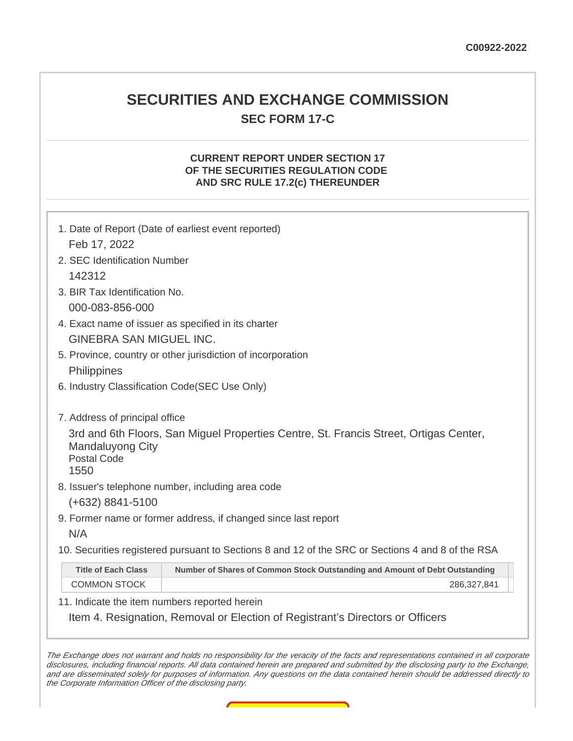## **SECURITIES AND EXCHANGE COMMISSION SEC FORM 17-C**

## **CURRENT REPORT UNDER SECTION 17 OF THE SECURITIES REGULATION CODE AND SRC RULE 17.2(c) THEREUNDER**

|                                                                                         | 1. Date of Report (Date of earliest event reported)                                                                                        |  |  |  |  |
|-----------------------------------------------------------------------------------------|--------------------------------------------------------------------------------------------------------------------------------------------|--|--|--|--|
| Feb 17, 2022                                                                            |                                                                                                                                            |  |  |  |  |
| 2. SEC Identification Number                                                            |                                                                                                                                            |  |  |  |  |
| 142312                                                                                  |                                                                                                                                            |  |  |  |  |
| 3. BIR Tax Identification No.                                                           |                                                                                                                                            |  |  |  |  |
| 000-083-856-000                                                                         |                                                                                                                                            |  |  |  |  |
| 4. Exact name of issuer as specified in its charter                                     |                                                                                                                                            |  |  |  |  |
| <b>GINEBRA SAN MIGUEL INC.</b>                                                          |                                                                                                                                            |  |  |  |  |
|                                                                                         | 5. Province, country or other jurisdiction of incorporation                                                                                |  |  |  |  |
| <b>Philippines</b>                                                                      |                                                                                                                                            |  |  |  |  |
| 6. Industry Classification Code(SEC Use Only)                                           |                                                                                                                                            |  |  |  |  |
| 7. Address of principal office<br><b>Mandaluyong City</b><br><b>Postal Code</b><br>1550 | 3rd and 6th Floors, San Miguel Properties Centre, St. Francis Street, Ortigas Center,<br>8. Issuer's telephone number, including area code |  |  |  |  |
| $(+632)$ 8841-5100                                                                      |                                                                                                                                            |  |  |  |  |
|                                                                                         | 9. Former name or former address, if changed since last report                                                                             |  |  |  |  |
| N/A                                                                                     |                                                                                                                                            |  |  |  |  |
|                                                                                         | 10. Securities registered pursuant to Sections 8 and 12 of the SRC or Sections 4 and 8 of the RSA                                          |  |  |  |  |
| <b>Title of Each Class</b>                                                              | Number of Shares of Common Stock Outstanding and Amount of Debt Outstanding                                                                |  |  |  |  |
| <b>COMMON STOCK</b>                                                                     | 286,327,841                                                                                                                                |  |  |  |  |
| 11. Indicate the item numbers reported herein                                           |                                                                                                                                            |  |  |  |  |
|                                                                                         | Item 4. Resignation, Removal or Election of Registrant's Directors or Officers                                                             |  |  |  |  |

The Exchange does not warrant and holds no responsibility for the veracity of the facts and representations contained in all corporate disclosures, including financial reports. All data contained herein are prepared and submitted by the disclosing party to the Exchange, and are disseminated solely for purposes of information. Any questions on the data contained herein should be addressed directly to the Corporate Information Officer of the disclosing party.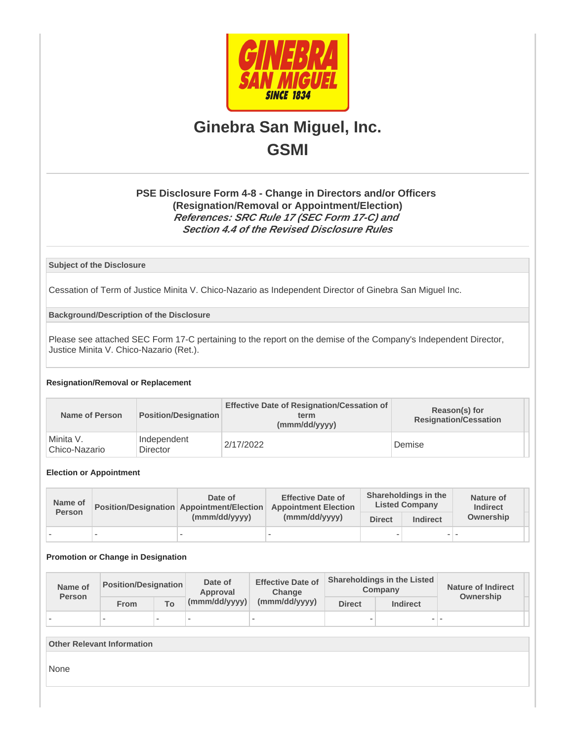

# **Ginebra San Miguel, Inc. GSMI**

## **PSE Disclosure Form 4-8 - Change in Directors and/or Officers (Resignation/Removal or Appointment/Election) References: SRC Rule 17 (SEC Form 17-C) and Section 4.4 of the Revised Disclosure Rules**

**Subject of the Disclosure**

Cessation of Term of Justice Minita V. Chico-Nazario as Independent Director of Ginebra San Miguel Inc.

**Background/Description of the Disclosure**

Please see attached SEC Form 17-C pertaining to the report on the demise of the Company's Independent Director, Justice Minita V. Chico-Nazario (Ret.).

## **Resignation/Removal or Replacement**

| Name of Person             | Position/Designation    | <b>Effective Date of Resignation/Cessation of</b><br>term<br>(mmm/dd/yyyy) | Reason(s) for<br><b>Resignation/Cessation</b> |
|----------------------------|-------------------------|----------------------------------------------------------------------------|-----------------------------------------------|
| Minita V.<br>Chico-Nazario | Independent<br>Director | 2/17/2022                                                                  | Demise                                        |

## **Election or Appointment**

| Name of<br><b>Person</b> |        | Date of<br><b>Position/Designation Appointment/Election</b><br>(mmm/dd/yyyy) | <b>Effective Date of</b><br><b>Appointment Election</b><br>(mmm/dd/yyyy) | Shareholdings in the<br><b>Listed Company</b> |                          | Nature of<br><b>Indirect</b> |
|--------------------------|--------|------------------------------------------------------------------------------|--------------------------------------------------------------------------|-----------------------------------------------|--------------------------|------------------------------|
|                          |        |                                                                              |                                                                          | <b>Direct</b>                                 | <b>Indirect</b>          | Ownership                    |
|                          | $\sim$ |                                                                              | -                                                                        | $\overline{\phantom{a}}$                      | $\overline{\phantom{0}}$ |                              |

#### **Promotion or Change in Designation**

| Name of<br><b>Person</b> | <b>Position/Designation</b> |        | Date of<br>Approval | <b>Effective Date of</b><br><b>Change</b> |               | <b>Shareholdings in the Listed</b><br>Company | <b>Nature of Indirect</b> |
|--------------------------|-----------------------------|--------|---------------------|-------------------------------------------|---------------|-----------------------------------------------|---------------------------|
|                          | From                        | To:    | (mmm/dd/yyyy)       | (mmm/dd/yyyy)                             | <b>Direct</b> | <b>Indirect</b>                               | Ownership                 |
|                          | $\sim$                      | $\sim$ |                     |                                           |               | - 1                                           |                           |

| <b>Other Relevant Information</b> |  |  |  |  |
|-----------------------------------|--|--|--|--|
| None                              |  |  |  |  |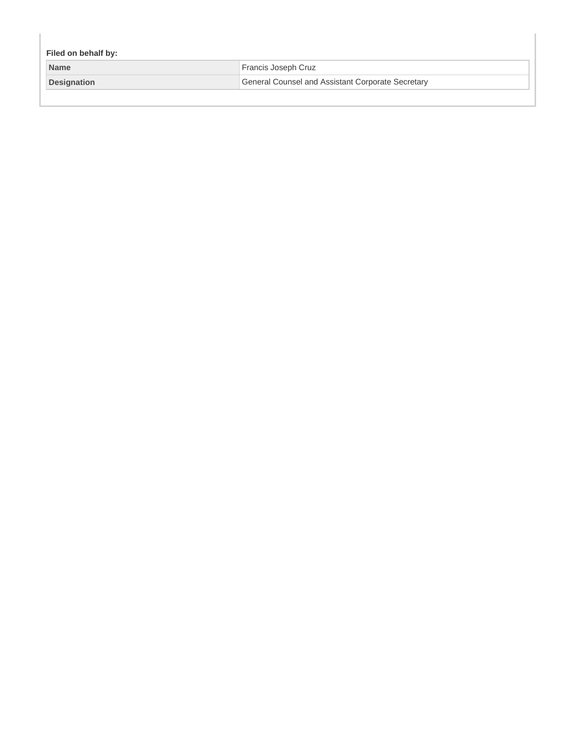| Filed on behalf by: |                                                          |  |  |  |
|---------------------|----------------------------------------------------------|--|--|--|
| <b>Name</b>         | Francis Joseph Cruz                                      |  |  |  |
| <b>Designation</b>  | <b>General Counsel and Assistant Corporate Secretary</b> |  |  |  |
|                     |                                                          |  |  |  |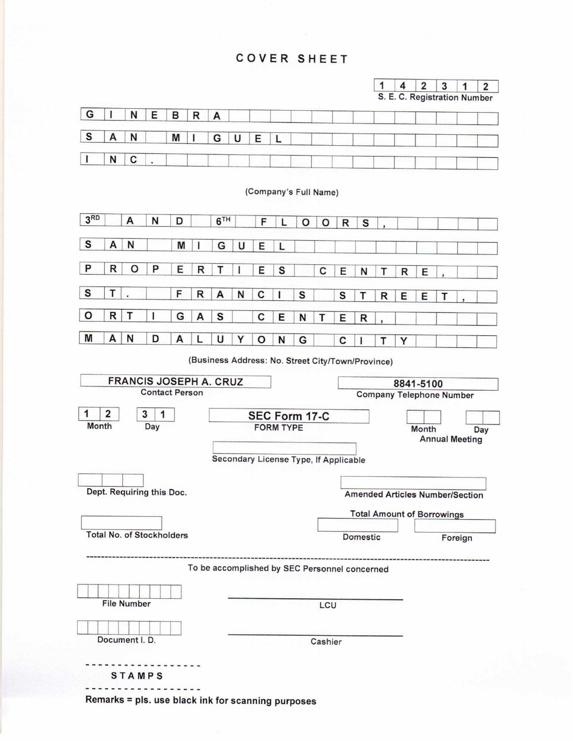## **COVER SHEET**





(Company's Full Name)



(Business Address: No. Street City/Town/Province)



Remarks = pls. use black ink for scanning purposes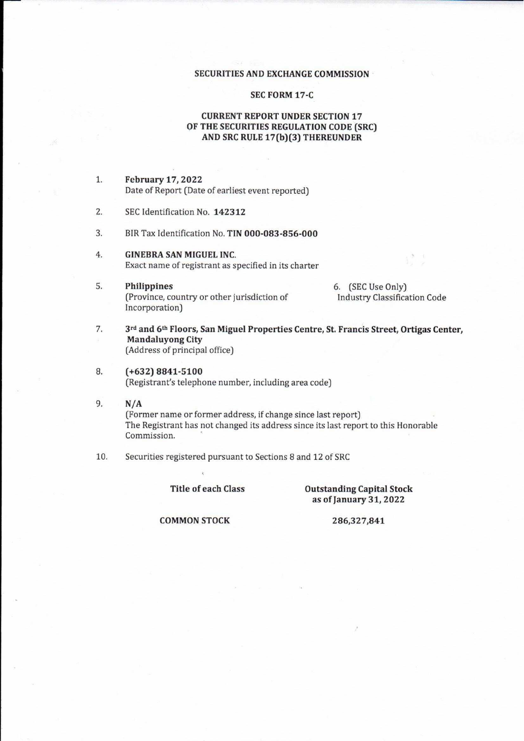## SECURITIES AND EXCHANGE COMMISSION

## **SEC FORM 17-C**

## **CURRENT REPORT UNDER SECTION 17** OF THE SECURITIES REGULATION CODE (SRC) AND SRC RULE 17(b)(3) THEREUNDER

**February 17, 2022**  $1.$ Date of Report (Date of earliest event reported)

- $2.$ SEC Identification No. 142312
- $3.$ BIR Tax Identification No. TIN 000-083-856-000
- $4.$ **GINEBRA SAN MIGUEL INC.** Exact name of registrant as specified in its charter
- 5. Philippines (Province, country or other jurisdiction of Incorporation)

6. (SEC Use Only) **Industry Classification Code** 

- 3rd and 6th Floors, San Miguel Properties Centre, St. Francis Street, Ortigas Center, 7. **Mandaluvong City** (Address of principal office)
- 8.  $(+632) 8841 - 5100$ (Registrant's telephone number, including area code)
- 9.  $N/A$ (Former name or former address, if change since last report) The Registrant has not changed its address since its last report to this Honorable Commission.
- 10. Securities registered pursuant to Sections 8 and 12 of SRC

**Title of each Class** 

**Outstanding Capital Stock** as of January 31, 2022

**COMMON STOCK** 

286,327,841